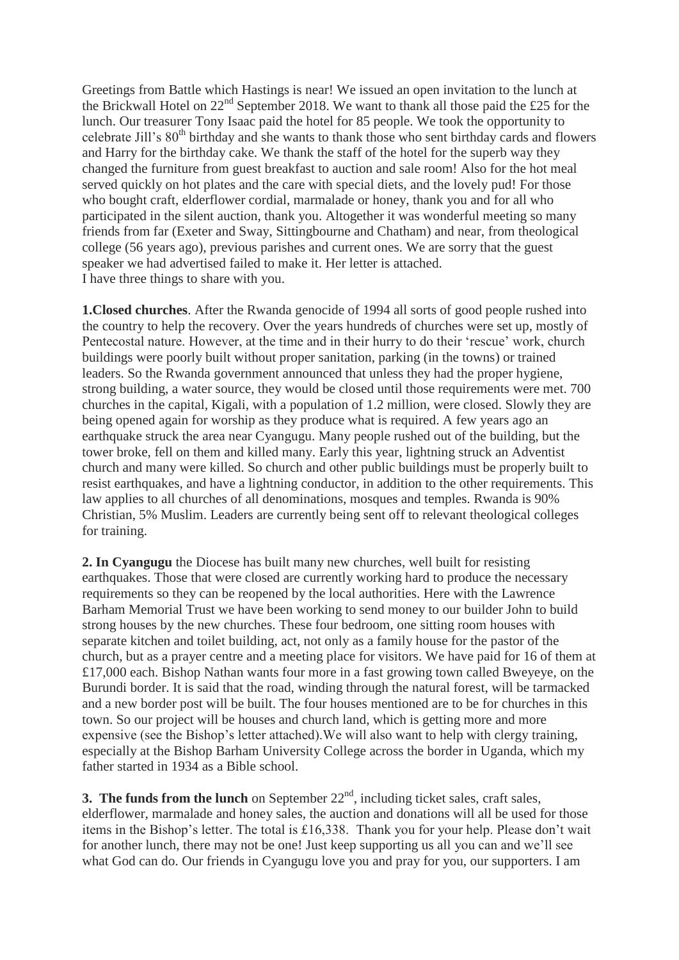Greetings from Battle which Hastings is near! We issued an open invitation to the lunch at the Brickwall Hotel on  $22<sup>nd</sup>$  September 2018. We want to thank all those paid the £25 for the lunch. Our treasurer Tony Isaac paid the hotel for 85 people. We took the opportunity to celebrate Jill's 80<sup>th</sup> birthday and she wants to thank those who sent birthday cards and flowers and Harry for the birthday cake. We thank the staff of the hotel for the superb way they changed the furniture from guest breakfast to auction and sale room! Also for the hot meal served quickly on hot plates and the care with special diets, and the lovely pud! For those who bought craft, elderflower cordial, marmalade or honey, thank you and for all who participated in the silent auction, thank you. Altogether it was wonderful meeting so many friends from far (Exeter and Sway, Sittingbourne and Chatham) and near, from theological college (56 years ago), previous parishes and current ones. We are sorry that the guest speaker we had advertised failed to make it. Her letter is attached. I have three things to share with you.

**1.Closed churches**. After the Rwanda genocide of 1994 all sorts of good people rushed into the country to help the recovery. Over the years hundreds of churches were set up, mostly of Pentecostal nature. However, at the time and in their hurry to do their 'rescue' work, church buildings were poorly built without proper sanitation, parking (in the towns) or trained leaders. So the Rwanda government announced that unless they had the proper hygiene, strong building, a water source, they would be closed until those requirements were met. 700 churches in the capital, Kigali, with a population of 1.2 million, were closed. Slowly they are being opened again for worship as they produce what is required. A few years ago an earthquake struck the area near Cyangugu. Many people rushed out of the building, but the tower broke, fell on them and killed many. Early this year, lightning struck an Adventist church and many were killed. So church and other public buildings must be properly built to resist earthquakes, and have a lightning conductor, in addition to the other requirements. This law applies to all churches of all denominations, mosques and temples. Rwanda is 90% Christian, 5% Muslim. Leaders are currently being sent off to relevant theological colleges for training.

**2. In Cyangugu** the Diocese has built many new churches, well built for resisting earthquakes. Those that were closed are currently working hard to produce the necessary requirements so they can be reopened by the local authorities. Here with the Lawrence Barham Memorial Trust we have been working to send money to our builder John to build strong houses by the new churches. These four bedroom, one sitting room houses with separate kitchen and toilet building, act, not only as a family house for the pastor of the church, but as a prayer centre and a meeting place for visitors. We have paid for 16 of them at £17,000 each. Bishop Nathan wants four more in a fast growing town called Bweyeye, on the Burundi border. It is said that the road, winding through the natural forest, will be tarmacked and a new border post will be built. The four houses mentioned are to be for churches in this town. So our project will be houses and church land, which is getting more and more expensive (see the Bishop's letter attached).We will also want to help with clergy training, especially at the Bishop Barham University College across the border in Uganda, which my father started in 1934 as a Bible school.

**3. The funds from the lunch** on September  $22<sup>nd</sup>$ , including ticket sales, craft sales, elderflower, marmalade and honey sales, the auction and donations will all be used for those items in the Bishop's letter. The total is £16,338. Thank you for your help. Please don't wait for another lunch, there may not be one! Just keep supporting us all you can and we'll see what God can do. Our friends in Cyangugu love you and pray for you, our supporters. I am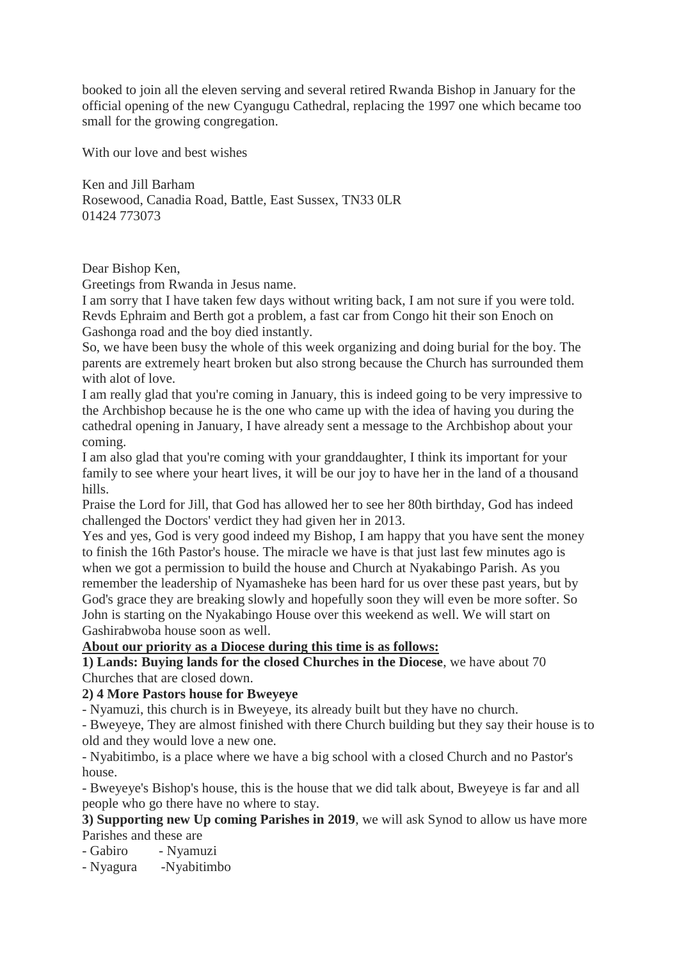booked to join all the eleven serving and several retired Rwanda Bishop in January for the official opening of the new Cyangugu Cathedral, replacing the 1997 one which became too small for the growing congregation.

With our love and best wishes

Ken and Jill Barham Rosewood, Canadia Road, Battle, East Sussex, TN33 0LR 01424 773073

Dear Bishop Ken,

Greetings from Rwanda in Jesus name.

I am sorry that I have taken few days without writing back, I am not sure if you were told. Revds Ephraim and Berth got a problem, a fast car from Congo hit their son Enoch on Gashonga road and the boy died instantly.

So, we have been busy the whole of this week organizing and doing burial for the boy. The parents are extremely heart broken but also strong because the Church has surrounded them with alot of love.

I am really glad that you're coming in January, this is indeed going to be very impressive to the Archbishop because he is the one who came up with the idea of having you during the cathedral opening in January, I have already sent a message to the Archbishop about your coming.

I am also glad that you're coming with your granddaughter, I think its important for your family to see where your heart lives, it will be our joy to have her in the land of a thousand hills.

Praise the Lord for Jill, that God has allowed her to see her 80th birthday, God has indeed challenged the Doctors' verdict they had given her in 2013.

Yes and yes, God is very good indeed my Bishop, I am happy that you have sent the money to finish the 16th Pastor's house. The miracle we have is that just last few minutes ago is when we got a permission to build the house and Church at Nyakabingo Parish. As you remember the leadership of Nyamasheke has been hard for us over these past years, but by God's grace they are breaking slowly and hopefully soon they will even be more softer. So John is starting on the Nyakabingo House over this weekend as well. We will start on Gashirabwoba house soon as well.

## **About our priority as a Diocese during this time is as follows:**

**1) Lands: Buying lands for the closed Churches in the Diocese**, we have about 70 Churches that are closed down.

## **2) 4 More Pastors house for Bweyeye**

- Nyamuzi, this church is in Bweyeye, its already built but they have no church.

- Bweyeye, They are almost finished with there Church building but they say their house is to old and they would love a new one.

- Nyabitimbo, is a place where we have a big school with a closed Church and no Pastor's house.

- Bweyeye's Bishop's house, this is the house that we did talk about, Bweyeye is far and all people who go there have no where to stay.

## **3) Supporting new Up coming Parishes in 2019**, we will ask Synod to allow us have more Parishes and these are

- Gabiro - Nyamuzi

- Nyagura -Nyabitimbo